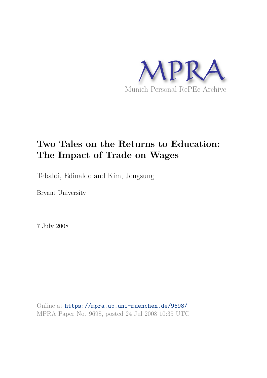

# **Two Tales on the Returns to Education: The Impact of Trade on Wages**

Tebaldi, Edinaldo and Kim, Jongsung

Bryant University

7 July 2008

Online at https://mpra.ub.uni-muenchen.de/9698/ MPRA Paper No. 9698, posted 24 Jul 2008 10:35 UTC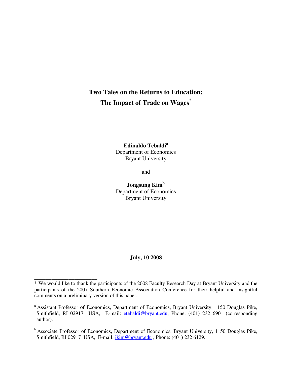# **Two Tales on the Returns to Education: The Impact of Trade on Wages\***

**Edinaldo Tebaldi<sup>a</sup>** Department of Economics Bryant University

and

**Jongsung Kim<sup>b</sup>** Department of Economics Bryant University

#### **July, 10 2008**

**\_\_\_\_\_\_\_\_\_\_\_\_\_\_\_\_\_\_\_\_\_\_** 

<sup>\*</sup> We would like to thank the participants of the 2008 Faculty Research Day at Bryant University and the participants of the 2007 Southern Economic Association Conference for their helpful and insightful comments on a preliminary version of this paper.

<sup>&</sup>lt;sup>a</sup> Assistant Professor of Economics, Department of Economics, Bryant University, 1150 Douglas Pike, Smithfield, RI 02917 USA, E-mail: [etebaldi@bryant.edu,](mailto:etebaldi@bryant.edu) Phone: (401) 232 6901 (corresponding author).

<sup>&</sup>lt;sup>b</sup> Associate Professor of Economics, Department of Economics, Bryant University, 1150 Douglas Pike, Smithfield, RI 02917 USA, E-mail: [jkim@bryant.edu](mailto:jkim@bryant.edu) , Phone: (401) 232 6129.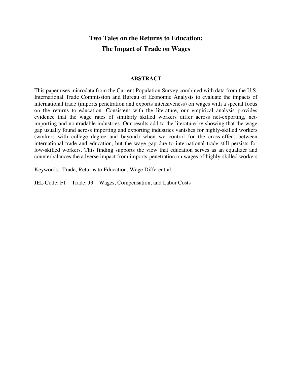# **Two Tales on the Returns to Education: The Impact of Trade on Wages**

## **ABSTRACT**

This paper uses microdata from the Current Population Survey combined with data from the U.S. International Trade Commission and Bureau of Economic Analysis to evaluate the impacts of international trade (imports penetration and exports intensiveness) on wages with a special focus on the returns to education. Consistent with the literature, our empirical analysis provides evidence that the wage rates of similarly skilled workers differ across net-exporting, netimporting and nontradable industries. Our results add to the literature by showing that the wage gap usually found across importing and exporting industries vanishes for highly-skilled workers (workers with college degree and beyond) when we control for the cross-effect between international trade and education, but the wage gap due to international trade still persists for low-skilled workers. This finding supports the view that education serves as an equalizer and counterbalances the adverse impact from imports-penetration on wages of highly-skilled workers.

Keywords: Trade, Returns to Education, Wage Differential

JEL Code: F1 – Trade; J3 – Wages, Compensation, and Labor Costs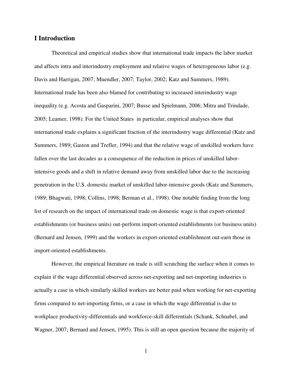# **I Introduction**

Theoretical and empirical studies show that international trade impacts the labor market and affects intra and interindustry employment and relative wages of heterogeneous labor (e.g. Davis and Harrigan, 2007; Muendler, 2007; Taylor, 2002; Katz and Summers, 1989). International trade has been also blamed for contributing to increased interindustry wage inequality (e.g. Acosta and Gasparini, 2007; Busse and Spielmann, 2006; Mitra and Trindade, 2005; Leamer, 1998). For the United States in particular, empirical analyses show that international trade explains a significant fraction of the interindustry wage differential (Katz and Summers, 1989; Gaston and Trefler, 1994) and that the relative wage of unskilled workers have fallen over the last decades as a consequence of the reduction in prices of unskilled laborintensive goods and a shift in relative demand away from unskilled labor due to the increasing penetration in the U.S. domestic market of unskilled labor-intensive goods (Katz and Summers, 1989; Bhagwati, 1998; Collins, 1998; Berman et al., 1998). One notable finding from the long list of research on the impact of international trade on domestic wage is that export-oriented establishments (or business units) out-perform import-oriented establishments (or business units) (Bernard and Jensen, 1999) and the workers in export-oriented establishment out-earn those in import-oriented establishments.

However, the empirical literature on trade is still scratching the surface when it comes to explain if the wage differential observed across net-exporting and net-importing industries is actually a case in which similarly skilled workers are better paid when working for net-exporting firms compared to net-importing firms, or a case in which the wage differential is due to workplace productivity-differentials and workforce-skill differentials (Schank, Schnabel, and Wagner, 2007; Bernard and Jensen, 1995). This is still an open question because the majority of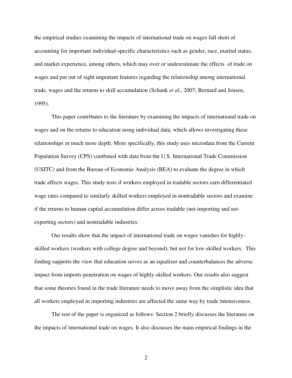the empirical studies examining the impacts of international trade on wages fall short of accounting for important individual-specific characteristics such as gender, race, marital status, and market experience, among others, which may over or underestimate the effects of trade on wages and put out of sight important features regarding the relationship among international trade, wages and the returns to skill accumulation (Schank *et al*., 2007; Bernard and Jensen, 1995).

This paper contributes to the literature by examining the impacts of international trade on wages and on the returns to education using individual data, which allows investigating these relationships in much more depth. More specifically, this study uses microdata from the Current Population Survey (CPS) combined with data from the U.S. International Trade Commission (USITC) and from the Bureau of Economic Analysis (BEA) to evaluate the degree in which trade affects wages. This study tests if workers employed in tradable sectors earn differentiated wage rates compared to similarly skilled workers employed in nontradable sectors and examine if the returns to human capital accumulation differ across tradable (net-importing and netexporting sectors) and nontradable industries.

Our results show that the impact of international trade on wages vanishes for highlyskilled workers (workers with college degree and beyond), but not for low-skilled workers. This finding supports the view that education serves as an equalizer and counterbalances the adverse impact from imports-penetration on wages of highly-skilled workers. Our results also suggest that some theories found in the trade literature needs to move away from the simplistic idea that all workers employed in importing industries are affected the same way by trade intensiveness.

The rest of the paper is organized as follows: Section 2 briefly discusses the literature on the impacts of international trade on wages. It also discusses the main empirical findings in the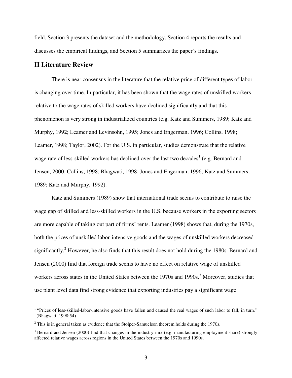field. Section 3 presents the dataset and the methodology. Section 4 reports the results and discusses the empirical findings, and Section 5 summarizes the paper's findings.

## **II Literature Review**

There is near consensus in the literature that the relative price of different types of labor is changing over time. In particular, it has been shown that the wage rates of unskilled workers relative to the wage rates of skilled workers have declined significantly and that this phenomenon is very strong in industrialized countries (e.g. Katz and Summers, 1989; Katz and Murphy, 1992; Leamer and Levinsohn, 1995; Jones and Engerman, 1996; Collins, 1998; Leamer, 1998; Taylor, 2002). For the U.S. in particular, studies demonstrate that the relative wage rate of less-skilled workers has declined over the last two decades<sup>1</sup> (e.g. Bernard and Jensen, 2000; Collins, 1998; Bhagwati, 1998; Jones and Engerman, 1996; Katz and Summers, 1989; Katz and Murphy, 1992).

Katz and Summers (1989) show that international trade seems to contribute to raise the wage gap of skilled and less-skilled workers in the U.S. because workers in the exporting sectors are more capable of taking out part of firms' rents. Leamer (1998) shows that, during the 1970s, both the prices of unskilled labor-intensive goods and the wages of unskilled workers decreased significantly.<sup>2</sup> However, he also finds that this result does not hold during the 1980s. Bernard and Jensen (2000) find that foreign trade seems to have no effect on relative wage of unskilled workers across states in the United States between the 1970s and 1990s.<sup>3</sup> Moreover, studies that use plant level data find strong evidence that exporting industries pay a significant wage

<sup>&</sup>lt;sup>1</sup> "Prices of less-skilled-labor-intensive goods have fallen and caused the real wages of such labor to fall, in turn." (Bhagwati, 1998:54)

 $2$  This is in general taken as evidence that the Stolper-Samuelson theorem holds during the 1970s.

 $3$  Bernard and Jensen (2000) find that changes in the industry-mix (e.g. manufacturing employment share) strongly affected relative wages across regions in the United States between the 1970s and 1990s.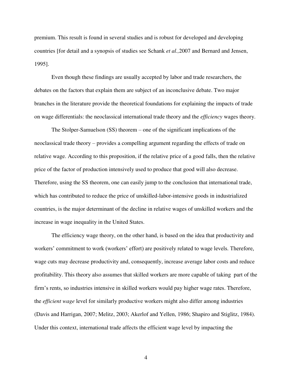premium. This result is found in several studies and is robust for developed and developing countries [for detail and a synopsis of studies see Schank *et al.,*2007 and Bernard and Jensen, 1995].

Even though these findings are usually accepted by labor and trade researchers, the debates on the factors that explain them are subject of an inconclusive debate. Two major branches in the literature provide the theoretical foundations for explaining the impacts of trade on wage differentials: the neoclassical international trade theory and the *efficiency* wages theory.

The Stolper-Samuelson (SS) theorem – one of the significant implications of the neoclassical trade theory – provides a compelling argument regarding the effects of trade on relative wage. According to this proposition, if the relative price of a good falls, then the relative price of the factor of production intensively used to produce that good will also decrease. Therefore, using the SS theorem, one can easily jump to the conclusion that international trade, which has contributed to reduce the price of unskilled-labor-intensive goods in industrialized countries, is the major determinant of the decline in relative wages of unskilled workers and the increase in wage inequality in the United States.

The efficiency wage theory, on the other hand, is based on the idea that productivity and workers' commitment to work (workers' effort) are positively related to wage levels. Therefore, wage cuts may decrease productivity and, consequently, increase average labor costs and reduce profitability. This theory also assumes that skilled workers are more capable of taking part of the firm's rents, so industries intensive in skilled workers would pay higher wage rates. Therefore, the *efficient wage* level for similarly productive workers might also differ among industries (Davis and Harrigan, 2007; Melitz, 2003; Akerlof and Yellen, 1986; Shapiro and Stiglitz, 1984). Under this context, international trade affects the efficient wage level by impacting the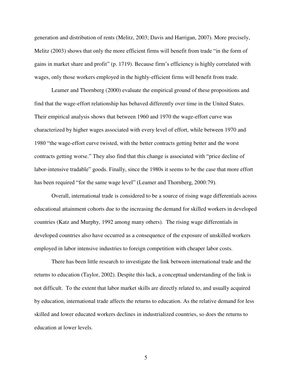generation and distribution of rents (Melitz, 2003; Davis and Harrigan, 2007). More precisely, Melitz (2003) shows that only the more efficient firms will benefit from trade "in the form of gains in market share and profit" (p. 1719). Because firm's efficiency is highly correlated with wages, only those workers employed in the highly-efficient firms will benefit from trade.

Leamer and Thornberg (2000) evaluate the empirical ground of these propositions and find that the wage-effort relationship has behaved differently over time in the United States. Their empirical analysis shows that between 1960 and 1970 the wage-effort curve was characterized by higher wages associated with every level of effort, while between 1970 and 1980 "the wage-effort curve twisted, with the better contracts getting better and the worst contracts getting worse." They also find that this change is associated with "price decline of labor-intensive tradable" goods. Finally, since the 1980s it seems to be the case that more effort has been required "for the same wage level" (Leamer and Thornberg, 2000:79).

Overall, international trade is considered to be a source of rising wage differentials across educational attainment cohorts due to the increasing the demand for skilled workers in developed countries (Katz and Murphy, 1992 among many others). The rising wage differentials in developed countries also have occurred as a consequence of the exposure of unskilled workers employed in labor intensive industries to foreign competition with cheaper labor costs.

There has been little research to investigate the link between international trade and the returns to education (Taylor, 2002). Despite this lack, a conceptual understanding of the link is not difficult. To the extent that labor market skills are directly related to, and usually acquired by education, international trade affects the returns to education. As the relative demand for less skilled and lower educated workers declines in industrialized countries, so does the returns to education at lower levels.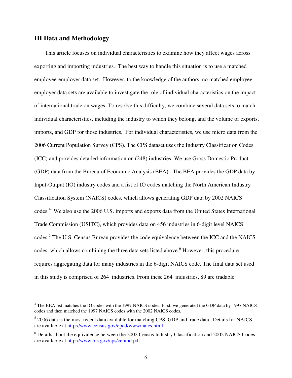## **III Data and Methodology**

This article focuses on individual characteristics to examine how they affect wages across exporting and importing industries. The best way to handle this situation is to use a matched employee-employer data set. However, to the knowledge of the authors, no matched employeeemployer data sets are available to investigate the role of individual characteristics on the impact of international trade on wages. To resolve this difficulty, we combine several data sets to match individual characteristics, including the industry to which they belong, and the volume of exports, imports, and GDP for those industries. For individual characteristics, we use micro data from the 2006 Current Population Survey (CPS). The CPS dataset uses the Industry Classification Codes (ICC) and provides detailed information on (248) industries. We use Gross Domestic Product (GDP) data from the Bureau of Economic Analysis (BEA). The BEA provides the GDP data by Input-Output (IO) industry codes and a list of IO codes matching the North American Industry Classification System (NAICS) codes, which allows generating GDP data by 2002 NAICS codes.<sup>4</sup> We also use the 2006 U.S. imports and exports data from the United States International Trade Commission (USITC), which provides data on 456 industries in 6-digit level NAICS codes.<sup>5</sup> The U.S. Census Bureau provides the code equivalence between the ICC and the NAICS codes, which allows combining the three data sets listed above.<sup>6</sup> However, this procedure requires aggregating data for many industries in the 6-digit NAICS code. The final data set used in this study is comprised of 264 industries. From these 264 industries, 89 are tradable

 4 The BEA list matches the IO codes with the 1997 NAICS codes. First, we generated the GDP data by 1997 NAICS codes and then matched the 1997 NAICS codes with the 2002 NAICS codes.

 $<sup>5</sup>$  2006 data is the most recent data available for matching CPS, GDP and trade data. Details for NAICS</sup> are available at [http://www.census.gov/epcd/www/naics.html.](http://www.census.gov/epcd/www/naics.html)

<sup>&</sup>lt;sup>6</sup> Details about the equivalence between the 2002 Census Industry Classification and 2002 NAICS Codes are available at [http://www.bls.gov/cps/cenind.pdf.](http://www.bls.gov/cps/cenind.pdf)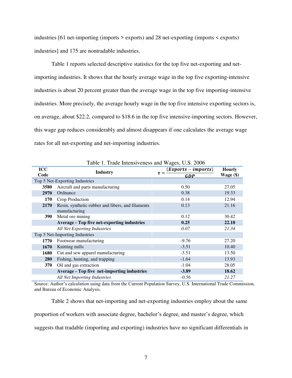industries [61 net-importing (imports > exports) and 28 net-exporting (imports < exports) industries] and 175 are nontradable industries.

Table 1 reports selected descriptive statistics for the top five net-exporting and netimporting industries. It shows that the hourly average wage in the top five exporting-intensive industries is about 20 percent greater than the average wage in the top five importing-intensive industries. More precisely, the average hourly wage in the top five intensive exporting sectors is, on average, about \$22.2, compared to \$18.6 in the top five intensive-importing sectors. However, this wage gap reduces considerably and almost disappears if one calculates the average wage rates for all net-exporting and net-importing industries.

| <b>ICC</b>                     |                                                                    | $(Express - imports)$  | <b>Hourly</b> |
|--------------------------------|--------------------------------------------------------------------|------------------------|---------------|
| Code                           | <b>Industry</b>                                                    | $\tau =$<br><b>GDP</b> | Wage $(\$)$   |
|                                | Top 5 Net-Exporting Industries                                     |                        |               |
| 3580                           | Aircraft and parts manufacturing                                   | 0.50                   | 27.05         |
| 2970                           | Ordnance                                                           | 0.38                   | 19.33         |
| 170                            | Crop Production                                                    | 0.14                   | 12.94         |
| 2170                           | Resin, synthetic rubber and fibers, and filaments<br>manufacturing | 0.13                   | 21.16         |
| <b>390</b>                     | Metal ore mining                                                   | 0.12                   | 30.42         |
|                                | <b>Average - Top five net-exporting industries</b>                 | 0.25                   | 22.18         |
|                                | All Net Exporting Industries                                       | 0.07                   | 21.34         |
| Top 5 Net-Importing Industries |                                                                    |                        |               |
| 1770                           | Footwear manufacturing                                             | $-9.76$                | 27.20         |
| 1670                           | Knitting mills                                                     | $-3.51$                | 10.40         |
| 1680                           | Cut and sew apparel manufacturing                                  | $-3.51$                | 13.50         |
| 280                            | Fishing, hunting, and trapping                                     | $-1.64$                | 13.93         |
| 370                            | Oil and gas extraction                                             | $-1.04$                | 28.05         |
|                                | Average - Top five net-importing industries                        | $-3.89$                | 18.62         |
|                                | All Net Importing Industries                                       | $-0.56$                | 21.27         |

Table 1. Trade Intensiveness and Wages, U.S. 2006

Source: Author's calculation using data from the Current Population Survey, U.S. International Trade Commission, and Bureau of Economic Analysis.

Table 2 shows that net-importing and net-exporting industries employ about the same proportion of workers with associate degree, bachelor's degree, and master's degree, which suggests that tradable (importing and exporting) industries have no significant differentials in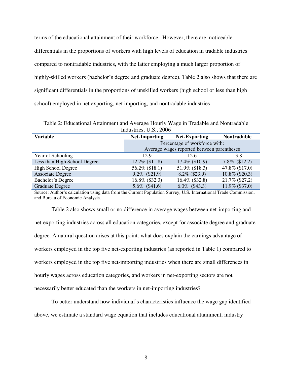terms of the educational attainment of their workforce. However, there are noticeable differentials in the proportions of workers with high levels of education in tradable industries compared to nontradable industries, with the latter employing a much larger proportion of highly-skilled workers (bachelor's degree and graduate degree). Table 2 also shows that there are significant differentials in the proportions of unskilled workers (high school or less than high school) employed in net exporting, net importing, and nontradable industries

Table 2: Educational Attainment and Average Hourly Wage in Tradable and Nontradable Industries, U.S., 2006

| <b>Variable</b>              | <b>Net-Importing</b>          | <b>Net-Exporting</b>                       | <b>Nontradable</b> |  |
|------------------------------|-------------------------------|--------------------------------------------|--------------------|--|
|                              | Percentage of workforce with: |                                            |                    |  |
|                              |                               | Average wages reported between parentheses |                    |  |
| Year of Schooling            | 12.9                          | 12.6                                       | 13.8               |  |
| Less than High School Degree | $12.2\%$ (\$11.8)             | 17.4% (\$10.9)                             | 7.8% (\$12.2)      |  |
| <b>High School Degree</b>    | 56.2% (\$18.1)                | 51.9% (\$18.3)                             | 47.8% (\$17.0)     |  |
| <b>Associate Degree</b>      | $9.2\%$ (\$21.9)              | $8.2\%$ (\$23.9)                           | 10.8% (\$20.3)     |  |
| Bachelor's Degree            | 16.8% (\$32.3)                | 16.4% (\$32.8)                             | 21.7% (\$27.2)     |  |
| <b>Graduate Degree</b>       | 5.6% (\$41.6)                 | $6.0\%$ (\$43.3)                           | 11.9% (\$37.0)     |  |

Source: Author's calculation using data from the Current Population Survey, U.S. International Trade Commission, and Bureau of Economic Analysis.

Table 2 also shows small or no difference in average wages between net-importing and net-exporting industries across all education categories, except for associate degree and graduate degree. A natural question arises at this point: what does explain the earnings advantage of workers employed in the top five net-exporting industries (as reported in Table 1) compared to workers employed in the top five net-importing industries when there are small differences in hourly wages across education categories, and workers in net-exporting sectors are not necessarily better educated than the workers in net-importing industries?

To better understand how individual's characteristics influence the wage gap identified above, we estimate a standard wage equation that includes educational attainment, industry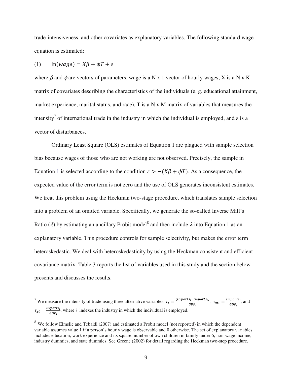trade-intensiveness, and other covariates as explanatory variables. The following standard wage equation is estimated:

$$
(1) \qquad \ln(wage) = X\beta + \phi T + \varepsilon
$$

 $\overline{a}$ 

where  $\beta$  and  $\phi$  are vectors of parameters, wage is a N x 1 vector of hourly wages, X is a N x K matrix of covariates describing the characteristics of the individuals (e. g. educational attainment, market experience, marital status, and race),  $T$  is a  $N \times M$  matrix of variables that measures the intensity<sup>7</sup> of international trade in the industry in which the individual is employed, and  $\varepsilon$  is a vector of disturbances.

Ordinary Least Square (OLS) estimates of Equation 1 are plagued with sample selection bias because wages of those who are not working are not observed. Precisely, the sample in Equation 1 is selected according to the condition  $\varepsilon > -(X\beta + \phi T)$ . As a consequence, the expected value of the error term is not zero and the use of OLS generates inconsistent estimates. We treat this problem using the Heckman two-stage procedure, which translates sample selection into a problem of an omitted variable. Specifically, we generate the so-called Inverse Mill's Ratio ( $\lambda$ ) by estimating an ancillary Probit model<sup>8</sup> and then include  $\lambda$  into Equation 1 as an explanatory variable. This procedure controls for sample selectivity, but makes the error term heteroskedastic. We deal with heteroskedasticity by using the Heckman consistent and efficient covariance matrix. Table 3 reports the list of variables used in this study and the section below presents and discusses the results.

<sup>&</sup>lt;sup>7</sup> We measure the intensity of trade using three alternative variables:  $\tau_i = \frac{(\text{Exports}_i - \text{imports}_i)}{\text{CDR}}$ ,  $\tau_{mi} = \frac{\text{Imports}_i}{\text{CDR}}$ , and  $\tau_{xi} = \frac{Exports_i}{GDP_i}$ , where *i* indexes the industry in which the individual is employed.

<sup>&</sup>lt;sup>8</sup> We follow Elmslie and Tebaldi (2007) and estimated a Probit model (not reported) in which the dependent variable assumes value 1 if a person's hourly wage is observable and 0 otherwise. The set of explanatory variables includes education, work experience and its square, number of own children in family under 6, non-wage income, industry dummies, and state dummies. See Greene (2002) for detail regarding the Heckman two-step procedure.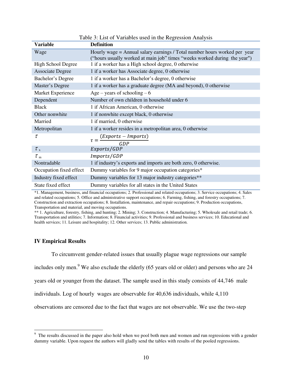| <b>Variable</b>         | <b>Definition</b>                                                                                                                                      |
|-------------------------|--------------------------------------------------------------------------------------------------------------------------------------------------------|
| Wage                    | Hourly wage = Annual salary earnings / Total number hours worked per year<br>("hours usually worked at main job" times "weeks worked during the year") |
| High School Degree      | 1 if a worker has a High school degree, 0 otherwise                                                                                                    |
| <b>Associate Degree</b> | 1 if a worker has Associate degree, 0 otherwise                                                                                                        |
| Bachelor's Degree       | 1 if a worker has a Bachelor's degree, 0 otherwise                                                                                                     |
| Master's Degree         | 1 if a worker has a graduate degree (MA and beyond), 0 otherwise                                                                                       |
| Market Experience       | Age – years of schooling – 6                                                                                                                           |
| Dependent               | Number of own children in household under 6                                                                                                            |
| <b>Black</b>            | 1 if African American, 0 otherwise                                                                                                                     |
| Other nonwhite          | 1 if nonwhite except black, 0 otherwise                                                                                                                |
| Married                 | 1 if married, 0 otherwise                                                                                                                              |
| Metropolitan            | 1 if a worker resides in a metropolitan area, 0 otherwise                                                                                              |
| τ                       | $\frac{(Exports - Imports)}{GDP}$                                                                                                                      |
| $\tau_{\rm x}$          | Exports/GDP                                                                                                                                            |
| $\tau_{\rm m}$          | Imports/GDP                                                                                                                                            |
| Nontradable             | 1 if industry's exports and imports are both zero, 0 otherwise.                                                                                        |
| Occupation fixed effect | Dummy variables for 9 major occupation categories*                                                                                                     |
| Industry fixed effect   | Dummy variables for 13 major industry categories**                                                                                                     |
| State fixed effect      | Dummy variables for all states in the United States                                                                                                    |

| Table 3: List of Variables used in the Regression Analysis |  |  |
|------------------------------------------------------------|--|--|
|                                                            |  |  |

\*1. Management, business, and financial occupations; 2. Professional and related occupations; 3. Service occupations; 4. Sales and related occupations; 5. Office and administrative support occupations; 6. Farming, fishing, and forestry occupations; 7. Construction and extraction occupations; 8. Installation, maintenance, and repair occupations; 9. Production occupations, Transportation and material, and moving occupations.

\*\* 1. Agriculture, forestry, fishing, and hunting; 2. Mining; 3. Construction; 4. Manufacturing; 5. Wholesale and retail trade; 6. Transportation and utilities; 7. Information; 8. Financial activities; 9. Professional and business services; 10. Educational and health services; 11. Leisure and hospitality; 12. Other services; 13. Public administration.

#### **IV Empirical Results**

To circumvent gender-related issues that usually plague wage regressions our sample

includes only men. <sup>9</sup> We also exclude the elderly (65 years old or older) and persons who are 24

years old or younger from the dataset. The sample used in this study consists of 44,746 male

individuals. Log of hourly wages are observable for 40,636 individuals, while 4,110

observations are censored due to the fact that wages are not observable. We use the two-step

<sup>&</sup>lt;sup>9</sup> The results discussed in the paper also hold when we pool both men and women and run regressions with a gender dummy variable. Upon request the authors will gladly send the tables with results of the pooled regressions.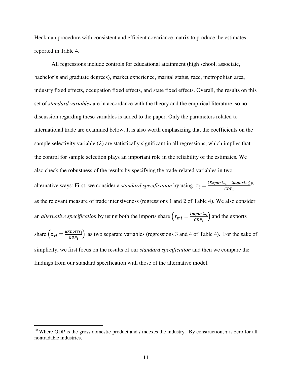Heckman procedure with consistent and efficient covariance matrix to produce the estimates reported in Table 4.

All regressions include controls for educational attainment (high school, associate, bachelor's and graduate degrees), market experience, marital status, race, metropolitan area, industry fixed effects, occupation fixed effects, and state fixed effects. Overall, the results on this set of *standard variables* are in accordance with the theory and the empirical literature, so no discussion regarding these variables is added to the paper. Only the parameters related to international trade are examined below. It is also worth emphasizing that the coefficients on the sample selectivity variable  $(\lambda)$  are statistically significant in all regressions, which implies that the control for sample selection plays an important role in the reliability of the estimates. We also check the robustness of the results by specifying the trade-related variables in two alternative ways: First, we consider a *standard specification* by using  $\tau_i = \frac{(Exports_i - imports_i)}{CDP}$ as the relevant measure of trade intensiveness (regressions 1 and 2 of Table 4). We also consider an *alternative specification* by using both the imports share  $(\tau_{mi} = \frac{Imports_i}{GDP_i})$  and the exports share  $\left(\tau_{xi} = \frac{Express}{GDP_i}\right)$  as two separate variables (regressions 3 and 4 of Table 4). For the sake of simplicity, we first focus on the results of our *standard specification* and then we compare the findings from our standard specification with those of the alternative model.

 $\overline{a}$ 

<sup>&</sup>lt;sup>10</sup> Where GDP is the gross domestic product and *i* indexes the industry. By construction,  $\tau$  is zero for all nontradable industries.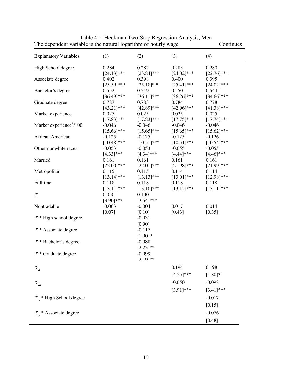| The dependent variable is the natural regument of hourif wage<br><b>Explanatory Variables</b> | (1)                                     | (2)                                     | (3)                                     | Commune<br>(4)                          |
|-----------------------------------------------------------------------------------------------|-----------------------------------------|-----------------------------------------|-----------------------------------------|-----------------------------------------|
| High School degree                                                                            | 0.284                                   | 0.282                                   | 0.283                                   | 0.280                                   |
| Associate degree                                                                              | $[24.13]$ ***<br>0.402                  | $[23.84]$ ***<br>0.398                  | $[24.02]$ ***<br>0.400                  | $[22.76]$ ***<br>0.395                  |
| Bachelor's degree                                                                             | $[25.59]$ ***<br>0.552<br>$[36.49]$ *** | $[25.18]$ ***<br>0.549<br>$[36.11]$ *** | $[25.41]$ ***<br>0.550<br>$[36.26]$ *** | $[24.02]$ ***<br>0.544<br>$[34.66]$ *** |
| Graduate degree                                                                               | 0.787<br>$[43.21]$ ***                  | 0.783<br>$[42.89]$ ***                  | 0.784<br>$[42.96]$ ***                  | 0.778<br>$[41.38]$ ***                  |
| Market experience                                                                             | 0.025<br>$[17.83]$ ***                  | 0.025<br>$[17.83]$ ***                  | 0.025<br>$[17.75]$ ***                  | 0.025<br>$[17.74]$ ***                  |
| Market experience <sup>2</sup> /100                                                           | $-0.046$<br>$[15.66]$ ***               | $-0.046$<br>$[15.65]$ ***               | $-0.046$<br>$[15.65]$ ***               | $-0.046$<br>$[15.62]$ ***               |
| African American                                                                              | $-0.125$<br>$[10.48]$ ***               | $-0.125$<br>$[10.51]$ ***               | $-0.125$<br>$[10.51]$ ***               | $-0.126$<br>$[10.54]$ ***               |
| Other nonwhite races                                                                          | $-0.053$                                | $-0.053$<br>$[4.34]$ ***                | $-0.055$<br>$[4.44]$ ***                | $-0.055$<br>$[4.46]$ ***                |
| Married                                                                                       | $[4.33]$ ***<br>0.161                   | 0.161                                   | 0.161                                   | 0.161                                   |
| Metropolitan                                                                                  | $[22.00]$ ***<br>0.115                  | $[22.01]$ ***<br>0.115                  | $[21.98]$ ***<br>0.114                  | $[21.99]$ ***<br>0.114                  |
| Fulltime                                                                                      | $[13.14]$ ***<br>0.118                  | $[13.13]$ ***<br>0.118                  | $[13.01]$ ***<br>0.118                  | $[12.98]$ ***<br>0.118                  |
| $\tau$                                                                                        | $[13.11]$ ***<br>0.050                  | $[13.10]$ ***<br>0.100                  | $[13.12]$ ***                           | $[13.11]$ ***                           |
| Nontradable                                                                                   | $[3.90]$ ***<br>$-0.003$                | $[3.54]$ ***<br>$-0.004$                | 0.017                                   | 0.014                                   |
| $\tau$ * High school degree                                                                   | $[0.07]$                                | $[0.10]$<br>$-0.031$                    | $[0.43]$                                | [0.35]                                  |
| $\tau$ * Associate degree                                                                     |                                         | [0.90]<br>$-0.117$                      |                                         |                                         |
| $\tau$ * Bachelor's degree                                                                    |                                         | $[1.90]$ *<br>$-0.088$                  |                                         |                                         |
| $\tau$ * Graduate degree                                                                      |                                         | $[2.23]$ **<br>$-0.099$<br>$[2.19]**$   |                                         |                                         |
| $\tau_{_x}$                                                                                   |                                         |                                         | 0.194                                   | 0.198                                   |
| $\tau_{_m}$                                                                                   |                                         |                                         | $[4.55]$ ***<br>$-0.050$                | $[1.80]*$<br>$-0.098$                   |
|                                                                                               |                                         |                                         | $[3.91]$ ***                            | $[3.41]$ ***                            |
| $\tau$ * High School degree                                                                   |                                         |                                         |                                         | $-0.017$<br>[0.15]                      |
| $\tau_{r}$ * Associate degree                                                                 |                                         |                                         |                                         | $-0.076$                                |
|                                                                                               |                                         |                                         |                                         | [0.48]                                  |

Table 4 – Heckman Two-Step Regression Analysis, Men The dependent variable is the natural logarithm of hourly wage Continues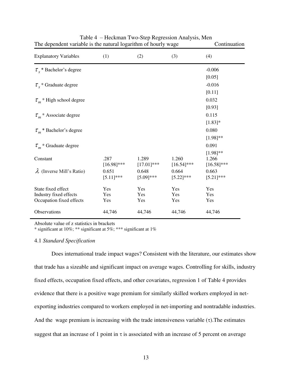| $S_{\rm C}$ . The matrix of $S_{\rm C}$ is the matrix of $S_{\rm C}$ in $S_{\rm C}$ is the set of $S_{\rm C}$ |               |               |               |               |
|---------------------------------------------------------------------------------------------------------------|---------------|---------------|---------------|---------------|
| <b>Explanatory Variables</b>                                                                                  | (1)           | (2)           | (3)           | (4)           |
| $\tau$ , * Bachelor's degree                                                                                  |               |               |               | $-0.006$      |
|                                                                                                               |               |               |               | [0.05]        |
| $\tau_{r}$ * Graduate degree                                                                                  |               |               |               | $-0.016$      |
|                                                                                                               |               |               |               | [0.11]        |
| $\tau_m$ <sup>*</sup> High school degree                                                                      |               |               |               | 0.032         |
|                                                                                                               |               |               |               | [0.93]        |
| $\tau_m^*$ Associate degree                                                                                   |               |               |               | 0.115         |
|                                                                                                               |               |               |               | $[1.83]$ *    |
| $\tau_m$ * Bachelor's degree                                                                                  |               |               |               | 0.080         |
|                                                                                                               |               |               |               | $[1.98]$ **   |
| $\tau_m^*$ Graduate degree                                                                                    |               |               |               | 0.091         |
|                                                                                                               |               |               |               | $[1.98]^{**}$ |
| Constant                                                                                                      | .287          | 1.289         | 1.260         | 1.266         |
|                                                                                                               | $[16.98]$ *** | $[17.01]$ *** | $[16.54]$ *** | $[16.58]$ *** |
| $\lambda$ (Inverse Mill's Ratio)                                                                              | 0.651         | 0.648         | 0.664         | 0.663         |
|                                                                                                               | $[5.11]$ ***  | $[5.09]$ ***  | $[5.22]$ ***  | $[5.21]$ ***  |
| State fixed effect                                                                                            | Yes           | Yes           | Yes           | Yes           |
| Industry fixed effects                                                                                        | Yes           | Yes           | Yes           | Yes           |
| Occupation fixed effects                                                                                      | Yes           | Yes           | Yes           | Yes           |
| Observations                                                                                                  | 44,746        | 44,746        | 44,746        | 44,746        |
|                                                                                                               |               |               |               |               |

Table 4 – Heckman Two-Step Regression Analysis, Men The dependent variable is the natural logarithm of hourly wage Continuation

Absolute value of z statistics in brackets

\* significant at 10%; \*\* significant at 5%; \*\*\* significant at 1%

#### 4.1 *Standard Specification*

Does international trade impact wages? Consistent with the literature, our estimates show that trade has a sizeable and significant impact on average wages. Controlling for skills, industry fixed effects, occupation fixed effects, and other covariates, regression 1 of Table 4 provides evidence that there is a positive wage premium for similarly skilled workers employed in netexporting industries compared to workers employed in net-importing and nontradable industries. And the wage premium is increasing with the trade intensiveness variable  $(\tau)$ . The estimates suggest that an increase of 1 point in  $\tau$  is associated with an increase of 5 percent on average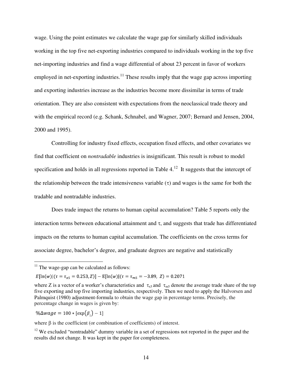wage. Using the point estimates we calculate the wage gap for similarly skilled individuals working in the top five net-exporting industries compared to individuals working in the top five net-importing industries and find a wage differential of about 23 percent in favor of workers employed in net-exporting industries.<sup>11</sup> These results imply that the wage gap across importing and exporting industries increase as the industries become more dissimilar in terms of trade orientation. They are also consistent with expectations from the neoclassical trade theory and with the empirical record (e.g. Schank, Schnabel, and Wagner, 2007; Bernard and Jensen, 2004, 2000 and 1995).

Controlling for industry fixed effects, occupation fixed effects, and other covariates we find that coefficient on *nontradable* industries is insignificant. This result is robust to model specification and holds in all regressions reported in Table  $4<sup>12</sup>$ . It suggests that the intercept of the relationship between the trade intensiveness variable  $(\tau)$  and wages is the same for both the tradable and nontradable industries.

Does trade impact the returns to human capital accumulation? Table 5 reports only the interaction terms between educational attainment and  $\tau$ , and suggests that trade has differentiated impacts on the returns to human capital accumulation. The coefficients on the cross terms for associate degree, bachelor's degree, and graduate degrees are negative and statistically

 $E[\ln(w)](\tau = \tau_{x5} = 0.253, Z)] - E[\ln(w)](\tau = \tau_{m5} = -3.89, Z) = 0.2071$ 

 $\% \Delta wage = 100 * [exp(\beta)] - 1$ 

 $\overline{a}$ 

where  $\beta$  is the coefficient (or combination of coefficients) of interest.

 $11$  The wage-gap can be calculated as follows:

where Z is a vector of a worker's characteristics and  $\tau_{\text{xs}}$  and  $\tau_{\text{ms}}$  denote the average trade share of the top five exporting and top five importing industries, respectively. Then we need to apply the Halvorsen and Palmquist (1980) adjustment-formula to obtain the wage gap in percentage terms. Precisely, the percentage change in wages is given by:

 $12$  We excluded "nontradable" dummy variable in a set of regressions not reported in the paper and the results did not change. It was kept in the paper for completeness.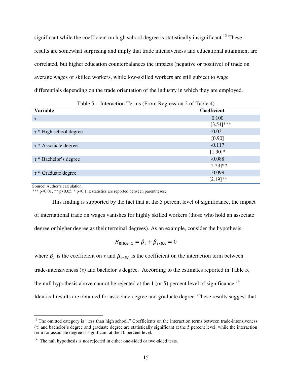significant while the coefficient on high school degree is statistically insignificant.<sup>13</sup> These results are somewhat surprising and imply that trade intensiveness and educational attainment are correlated, but higher education counterbalances the impacts (negative or positive) of trade on average wages of skilled workers, while low-skilled workers are still subject to wage differentials depending on the trade orientation of the industry in which they are employed.

| Table 5 – Interaction Terms (From Regression 2 of Table 4) |               |  |
|------------------------------------------------------------|---------------|--|
| <b>Variable</b>                                            | Coefficient   |  |
| τ                                                          | 0.100         |  |
|                                                            | $[3.54]$ ***  |  |
| $\tau$ * High school degree                                | $-0.031$      |  |
|                                                            | [0.90]        |  |
| $\tau$ * Associate degree                                  | $-0.117$      |  |
|                                                            | $[1.90]$ *    |  |
| $\tau$ * Bachelor's degree                                 | $-0.088$      |  |
|                                                            | $[2.23]^{**}$ |  |
| $\tau$ * Graduate degree                                   | $-0.099$      |  |
|                                                            | $[2.19]$ **   |  |

Source: Author's calculation.

 $\overline{a}$ 

\*\*\* p<0.01, \*\* p<0.05, \* p<0.1. z statistics are reported between parentheses;

This finding is supported by the fact that at the 5 percent level of significance, the impact of international trade on wages vanishes for highly skilled workers (those who hold an associate degree or higher degree as their terminal degrees). As an example, consider the hypothesis:

$$
H_{0|BA=1} = \beta_{\tau} + \beta_{\tau * BA} = 0
$$

where  $\beta_{\tau}$  is the coefficient on  $\tau$  and  $\beta_{\tau * BA}$  is the coefficient on the interaction term between trade-intensiveness  $(\tau)$  and bachelor's degree. According to the estimates reported in Table 5, the null hypothesis above cannot be rejected at the 1 (or 5) percent level of significance.<sup>14</sup> Identical results are obtained for associate degree and graduate degree. These results suggest that

<sup>&</sup>lt;sup>13</sup> The omitted category is "less than high school." Coefficients on the interaction terms between trade-intensiveness  $(\tau)$  and bachelor's degree and graduate degree are statistically significant at the 5 percent level, while the interaction term for associate degree is significant at the 10 percent level.

 $14$  The null hypothesis is not rejected in either one-sided or two-sided tests.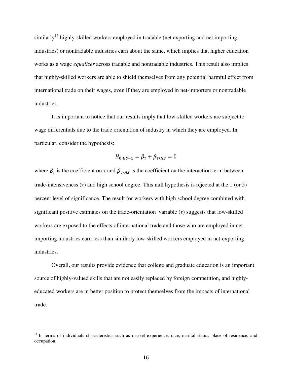similarly<sup>15</sup> highly-skilled workers employed in tradable (net exporting and net importing industries) or nontradable industries earn about the same, which implies that higher education works as a wage *equalizer* across tradable and nontradable industries. This result also implies that highly-skilled workers are able to shield themselves from any potential harmful effect from international trade on their wages, even if they are employed in net-importers or nontradable industries.

It is important to notice that our results imply that low-skilled workers are subject to wage differentials due to the trade orientation of industry in which they are employed. In particular, consider the hypothesis:

$$
H_{0|HS=1} = \beta_{\tau} + \beta_{\tau*HS} = 0
$$

where  $\beta_{\tau}$  is the coefficient on  $\tau$  and  $\beta_{\tau * HS}$  is the coefficient on the interaction term between trade-intensiveness  $(\tau)$  and high school degree. This null hypothesis is rejected at the 1 (or 5) percent level of significance. The result for workers with high school degree combined with significant positive estimates on the trade-orientation variable  $(\tau)$  suggests that low-skilled workers are exposed to the effects of international trade and those who are employed in netimporting industries earn less than similarly low-skilled workers employed in net-exporting industries.

Overall, our results provide evidence that college and graduate education is an important source of highly-valued skills that are not easily replaced by foreign competition, and highlyeducated workers are in better position to protect themselves from the impacts of international trade.

 $\overline{a}$ 

<sup>&</sup>lt;sup>15</sup> In terms of individuals characteristics such as market experience, race, marital status, place of residence, and occupation.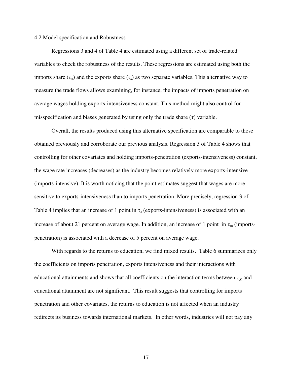#### 4.2 Model specification and Robustness

Regressions 3 and 4 of Table 4 are estimated using a different set of trade-related variables to check the robustness of the results. These regressions are estimated using both the imports share  $(\tau_m)$  and the exports share  $(\tau_x)$  as two separate variables. This alternative way to measure the trade flows allows examining, for instance, the impacts of imports penetration on average wages holding exports-intensiveness constant. This method might also control for misspecification and biases generated by using only the trade share  $(\tau)$  variable.

Overall, the results produced using this alternative specification are comparable to those obtained previously and corroborate our previous analysis. Regression 3 of Table 4 shows that controlling for other covariates and holding imports-penetration (exports-intensiveness) constant, the wage rate increases (decreases) as the industry becomes relatively more exports-intensive (imports-intensive). It is worth noticing that the point estimates suggest that wages are more sensitive to exports-intensiveness than to imports penetration. More precisely, regression 3 of Table 4 implies that an increase of 1 point in  $\tau_x$  (exports-intensiveness) is associated with an increase of about 21 percent on average wage. In addition, an increase of 1 point in  $\tau_m$  (importspenetration) is associated with a decrease of 5 percent on average wage.

With regards to the returns to education, we find mixed results. Table 6 summarizes only the coefficients on imports penetration, exports intensiveness and their interactions with educational attainments and shows that all coefficients on the interaction terms between  $\tau_x$  and educational attainment are not significant. This result suggests that controlling for imports penetration and other covariates, the returns to education is not affected when an industry redirects its business towards international markets. In other words, industries will not pay any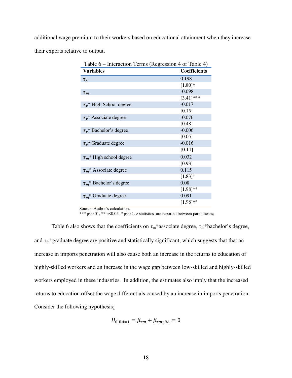additional wage premium to their workers based on educational attainment when they increase their exports relative to output.

| Table 6 – Interaction Terms (Regression 4 of Table 4) |                     |  |  |
|-------------------------------------------------------|---------------------|--|--|
| <b>Variables</b>                                      | <b>Coefficients</b> |  |  |
| $\tau_x$                                              | 0.198               |  |  |
|                                                       | $[1.80]$ *          |  |  |
| $\tau_m$                                              | $-0.098$            |  |  |
|                                                       | $[3.41]$ ***        |  |  |
| $\tau_{r}$ * High School degree                       | $-0.017$            |  |  |
|                                                       | [0.15]              |  |  |
| $\tau_r^*$ Associate degree                           | $-0.076$            |  |  |
|                                                       | [0.48]              |  |  |
| $\tau_r^*$ Bachelor's degree                          | $-0.006$            |  |  |
|                                                       | [0.05]              |  |  |
| $\tau_r^*$ Graduate degree                            | $-0.016$            |  |  |
|                                                       | [0.11]              |  |  |
| $\tau_m$ <sup>*</sup> High school degree              | 0.032               |  |  |
|                                                       | [0.93]              |  |  |
| $\tau_m^*$ Associate degree                           | 0.115               |  |  |
|                                                       | $[1.83]$ *          |  |  |
| $\tau_m$ * Bachelor's degree                          | 0.08                |  |  |
|                                                       | $[1.98]^{**}$       |  |  |
| $\tau_m$ <sup>*</sup> Graduate degree                 | 0.091               |  |  |
|                                                       | $[1.98]^{**}$       |  |  |

Source: Author's calculation.

\*\*\*  $p$ <0.01, \*\*  $p$ <0.05, \*  $p$ <0.1. z statistics are reported between parentheses;

Table 6 also shows that the coefficients on  $\tau_m^*$  associate degree,  $\tau_m^*$  bachelor's degree, and  $\tau_m$ \*graduate degree are positive and statistically significant, which suggests that that an increase in imports penetration will also cause both an increase in the returns to education of highly-skilled workers and an increase in the wage gap between low-skilled and highly-skilled workers employed in these industries. In addition, the estimates also imply that the increased returns to education offset the wage differentials caused by an increase in imports penetration. Consider the following hypothesis:

$$
H_{0|BA=1} = \beta_{\tau m} + \beta_{\tau m*BA} = 0
$$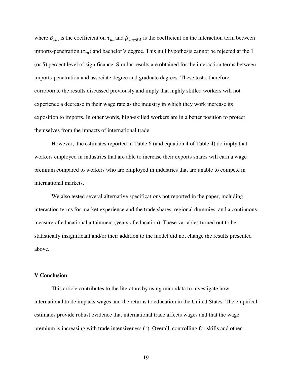where  $\beta_{\tau m}$  is the coefficient on  $\tau_m$  and  $\beta_{\tau m * BA}$  is the coefficient on the interaction term between imports-penetration  $(\tau_m)$  and bachelor's degree. This null hypothesis cannot be rejected at the 1 (or 5) percent level of significance. Similar results are obtained for the interaction terms between imports-penetration and associate degree and graduate degrees. These tests, therefore, corroborate the results discussed previously and imply that highly skilled workers will not experience a decrease in their wage rate as the industry in which they work increase its exposition to imports. In other words, high-skilled workers are in a better position to protect themselves from the impacts of international trade.

However, the estimates reported in Table 6 (and equation 4 of Table 4) do imply that workers employed in industries that are able to increase their exports shares will earn a wage premium compared to workers who are employed in industries that are unable to compete in international markets.

We also tested several alternative specifications not reported in the paper, including interaction terms for market experience and the trade shares, regional dummies, and a continuous measure of educational attainment (years of education). These variables turned out to be statistically insignificant and/or their addition to the model did not change the results presented above.

#### **V Conclusion**

This article contributes to the literature by using microdata to investigate how international trade impacts wages and the returns to education in the United States. The empirical estimates provide robust evidence that international trade affects wages and that the wage premium is increasing with trade intensiveness  $(\tau)$ . Overall, controlling for skills and other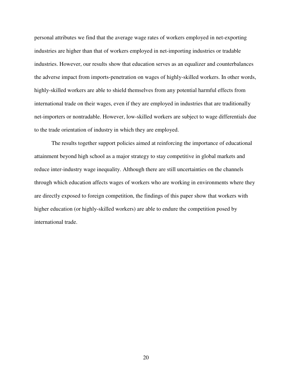personal attributes we find that the average wage rates of workers employed in net-exporting industries are higher than that of workers employed in net-importing industries or tradable industries. However, our results show that education serves as an equalizer and counterbalances the adverse impact from imports-penetration on wages of highly-skilled workers. In other words, highly-skilled workers are able to shield themselves from any potential harmful effects from international trade on their wages, even if they are employed in industries that are traditionally net-importers or nontradable. However, low-skilled workers are subject to wage differentials due to the trade orientation of industry in which they are employed.

The results together support policies aimed at reinforcing the importance of educational attainment beyond high school as a major strategy to stay competitive in global markets and reduce inter-industry wage inequality. Although there are still uncertainties on the channels through which education affects wages of workers who are working in environments where they are directly exposed to foreign competition, the findings of this paper show that workers with higher education (or highly-skilled workers) are able to endure the competition posed by international trade.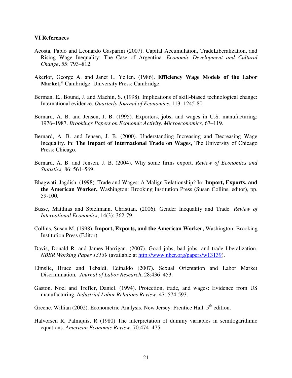#### **VI References**

- Acosta, Pablo and Leonardo Gasparini (2007). Capital Accumulation, TradeLiberalization, and Rising Wage Inequality: The Case of Argentina. *Economic Development and Cultural Change*, 55: 793–812.
- Akerlof, George A. and Janet L. Yellen. (1986). **Efficiency Wage Models of the Labor Market,"** Cambridge University Press: Cambridge.
- Berman, E., Bound, J. and Machin, S. (1998). Implications of skill-biased technological change: International evidence. *Quarterly Journal of Economics*, 113: 1245-80.
- Bernard, A. B. and Jensen, J. B. (1995). Exporters, jobs, and wages in U.S. manufacturing: 1976–1987. *Brookings Papers on Economic Activity*. *Microeconomics,* 67–119.
- Bernard, A. B. and Jensen, J. B. (2000). Understanding Increasing and Decreasing Wage Inequality. In: **The Impact of International Trade on Wages,** The University of Chicago Press: Chicago.
- Bernard, A. B. and Jensen, J. B. (2004). Why some firms export. *Review of Economics and Statistics,* 86: 561–569.
- Bhagwati, Jagdish. (1998). Trade and Wages: A Malign Relationship? In: **Import, Exports, and the American Worker,** Washington: Brooking Institution Press (Susan Collins, editor), pp. 59-100.
- Busse, Matthias and Spielmann, Christian. (2006). Gender Inequality and Trade. *Review of International Economics*, 14(3): 362-79.
- Collins, Susan M. (1998). **Import, Exports, and the American Worker,** Washington: Brooking Institution Press (Editor).
- Davis, Donald R. and James Harrigan. (2007). Good jobs, bad jobs, and trade liberalization. *NBER Working Paper 13139* (available at [http://www.nber.org/papers/w13139\)](http://www.nber.org/papers/w13139).
- Elmslie, Bruce and Tebaldi, Edinaldo (2007). Sexual Orientation and Labor Market Discrimination*. Journal of Labor Research*, 28:436–453.
- Gaston, Noel and Trefler, Daniel. (1994). Protection, trade, and wages: Evidence from US manufacturing. *Industrial Labor Relations Review*, 47: 574-593.
- Greene, Willian (2002). Econometric Analysis. New Jersey: Prentice Hall.  $5<sup>th</sup>$  edition.
- Halvorsen R, Palmquist R (1980) The interpretation of dummy variables in semilogarithmic equations. *American Economic Review*, 70:474–475.